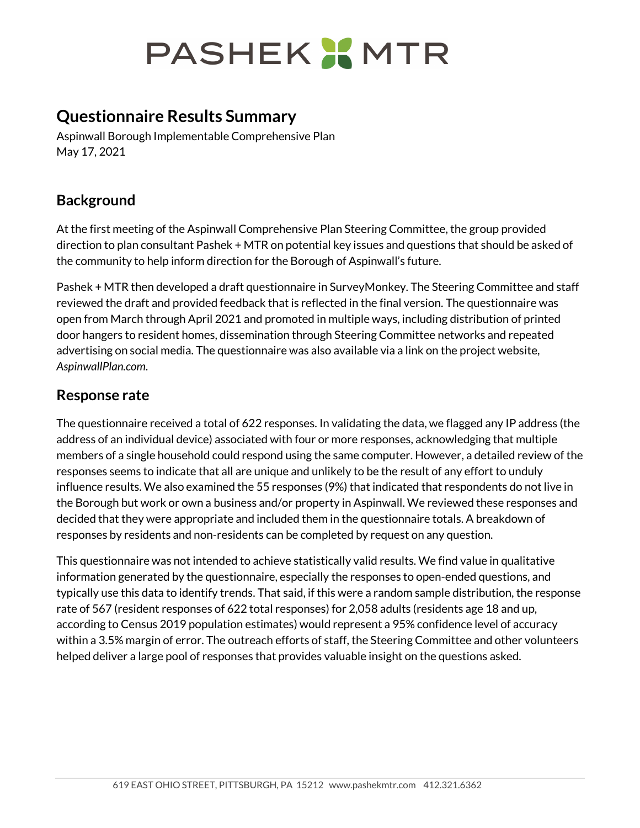# **PASHEK X MTR**

# **Questionnaire Results Summary**

Aspinwall Borough Implementable Comprehensive Plan May 17, 2021

# **Background**

At the first meeting of the Aspinwall Comprehensive Plan Steering Committee, the group provided direction to plan consultant Pashek + MTR on potential key issues and questions that should be asked of the community to help inform direction for the Borough of Aspinwall's future.

Pashek + MTR then developed a draft questionnaire in SurveyMonkey. The Steering Committee and staff reviewed the draft and provided feedback that is reflected in the final version. The questionnaire was open from March through April 2021 and promoted in multiple ways, including distribution of printed door hangers to resident homes, dissemination through Steering Committee networks and repeated advertising on social media. The questionnaire was also available via a link on the project website, *AspinwallPlan.com*.

# **Response rate**

The questionnaire received a total of 622 responses. In validating the data, we flagged any IP address (the address of an individual device) associated with four or more responses, acknowledging that multiple members of a single household could respond using the same computer. However, a detailed review of the responses seems to indicate that all are unique and unlikely to be the result of any effort to unduly influence results. We also examined the 55 responses (9%) that indicated that respondents do not live in the Borough but work or own a business and/or property in Aspinwall. We reviewed these responses and decided that they were appropriate and included them in the questionnaire totals. A breakdown of responses by residents and non-residents can be completed by request on any question.

This questionnaire was not intended to achieve statistically valid results. We find value in qualitative information generated by the questionnaire, especially the responses to open-ended questions, and typically use this data to identify trends. That said, if this were a random sample distribution, the response rate of 567 (resident responses of 622 total responses) for 2,058 adults (residents age 18 and up, according to Census 2019 population estimates) would represent a 95% confidence level of accuracy within a 3.5% margin of error. The outreach efforts of staff, the Steering Committee and other volunteers helped deliver a large pool of responses that provides valuable insight on the questions asked.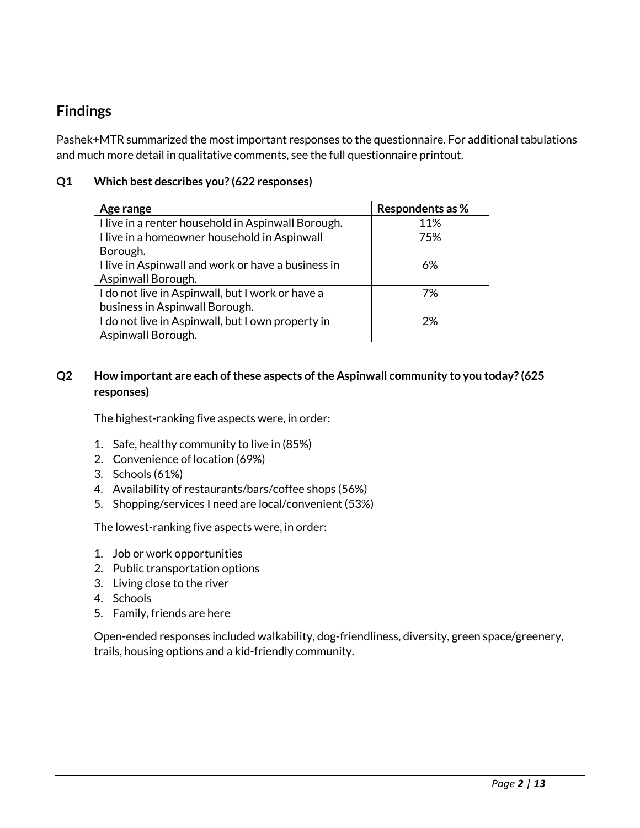# **Findings**

Pashek+MTR summarized the most important responses to the questionnaire. For additional tabulations and much more detail in qualitative comments, see the full questionnaire printout.

# **Q1 Which best describes you? (622 responses)**

| Age range                                          | Respondents as % |  |  |  |  |
|----------------------------------------------------|------------------|--|--|--|--|
| I live in a renter household in Aspinwall Borough. | 11%              |  |  |  |  |
| I live in a homeowner household in Aspinwall       | 75%              |  |  |  |  |
| Borough.                                           |                  |  |  |  |  |
| I live in Aspinwall and work or have a business in | 6%               |  |  |  |  |
| Aspinwall Borough.                                 |                  |  |  |  |  |
| I do not live in Aspinwall, but I work or have a   | 7%               |  |  |  |  |
| business in Aspinwall Borough.                     |                  |  |  |  |  |
| I do not live in Aspinwall, but I own property in  | 2%               |  |  |  |  |
| Aspinwall Borough.                                 |                  |  |  |  |  |

# **Q2 How important are each of these aspects of the Aspinwall community to you today? (625 responses)**

The highest-ranking five aspects were, in order:

- 1. Safe, healthy community to live in (85%)
- 2. Convenience of location (69%)
- 3. Schools (61%)
- 4. Availability of restaurants/bars/coffee shops (56%)
- 5. Shopping/services I need are local/convenient (53%)

The lowest-ranking five aspects were, in order:

- 1. Job or work opportunities
- 2. Public transportation options
- 3. Living close to the river
- 4. Schools
- 5. Family, friends are here

Open-ended responses included walkability, dog-friendliness, diversity, green space/greenery, trails, housing options and a kid-friendly community.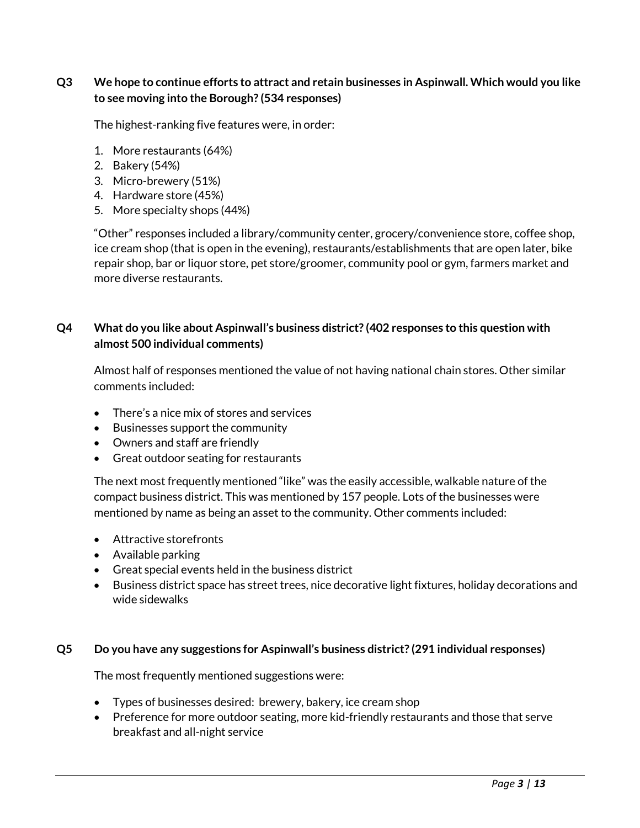# **Q3 We hope to continue efforts to attract and retain businesses in Aspinwall. Which would you like to see moving into the Borough? (534 responses)**

The highest-ranking five features were, in order:

- 1. More restaurants (64%)
- 2. Bakery (54%)
- 3. Micro-brewery (51%)
- 4. Hardware store (45%)
- 5. More specialty shops (44%)

"Other" responses included a library/community center, grocery/convenience store, coffee shop, ice cream shop (that is open in the evening), restaurants/establishments that are open later, bike repair shop, bar or liquor store, pet store/groomer, community pool or gym, farmers market and more diverse restaurants.

## **Q4 What do you like about Aspinwall's business district? (402 responses to this question with almost 500 individual comments)**

Almost half of responses mentioned the value of not having national chain stores. Other similar comments included:

- There's a nice mix of stores and services
- Businesses support the community
- Owners and staff are friendly
- Great outdoor seating for restaurants

The next most frequently mentioned "like" was the easily accessible, walkable nature of the compact business district. This was mentioned by 157 people. Lots of the businesses were mentioned by name as being an asset to the community. Other comments included:

- Attractive storefronts
- Available parking
- Great special events held in the business district
- Business district space has street trees, nice decorative light fixtures, holiday decorations and wide sidewalks

#### **Q5 Do you have any suggestions for Aspinwall's business district? (291 individual responses)**

The most frequently mentioned suggestions were:

- Types of businesses desired: brewery, bakery, ice cream shop
- Preference for more outdoor seating, more kid-friendly restaurants and those that serve breakfast and all-night service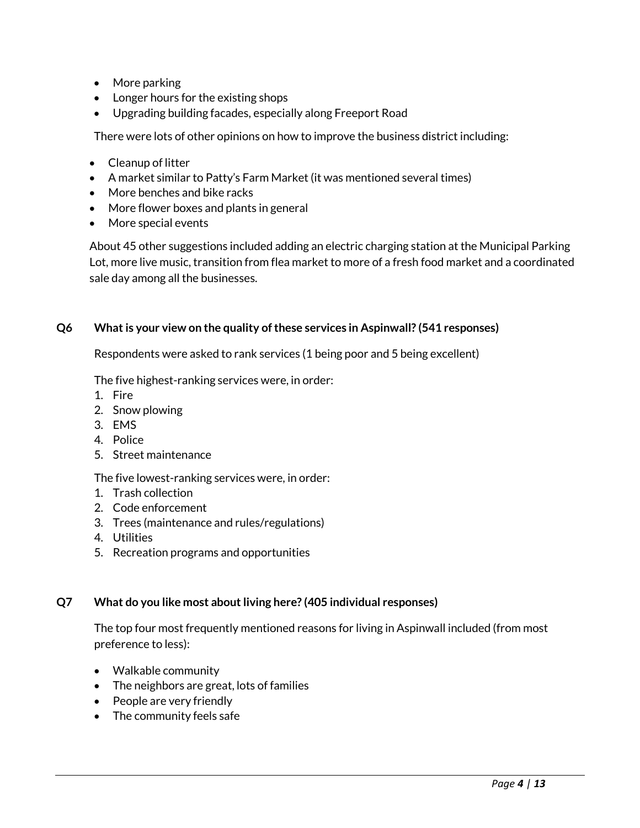- More parking
- Longer hours for the existing shops
- Upgrading building facades, especially along Freeport Road

There were lots of other opinions on how to improve the business district including:

- Cleanup of litter
- A market similar to Patty's Farm Market (it was mentioned several times)
- More benches and bike racks
- More flower boxes and plants in general
- More special events

About 45 other suggestions included adding an electric charging station at the Municipal Parking Lot, more live music, transition from flea market to more of a fresh food market and a coordinated sale day among all the businesses.

#### **Q6 What is your view on the quality of these services in Aspinwall? (541 responses)**

Respondents were asked to rank services (1 being poor and 5 being excellent)

The five highest-ranking services were, in order:

- 1. Fire
- 2. Snow plowing
- 3. EMS
- 4. Police
- 5. Street maintenance

The five lowest-ranking services were, in order:

- 1. Trash collection
- 2. Code enforcement
- 3. Trees (maintenance and rules/regulations)
- 4. Utilities
- 5. Recreation programs and opportunities

#### **Q7 What do you like most about living here? (405 individual responses)**

The top four most frequently mentioned reasons for living in Aspinwall included (from most preference to less):

- Walkable community
- The neighbors are great, lots of families
- People are very friendly
- The community feels safe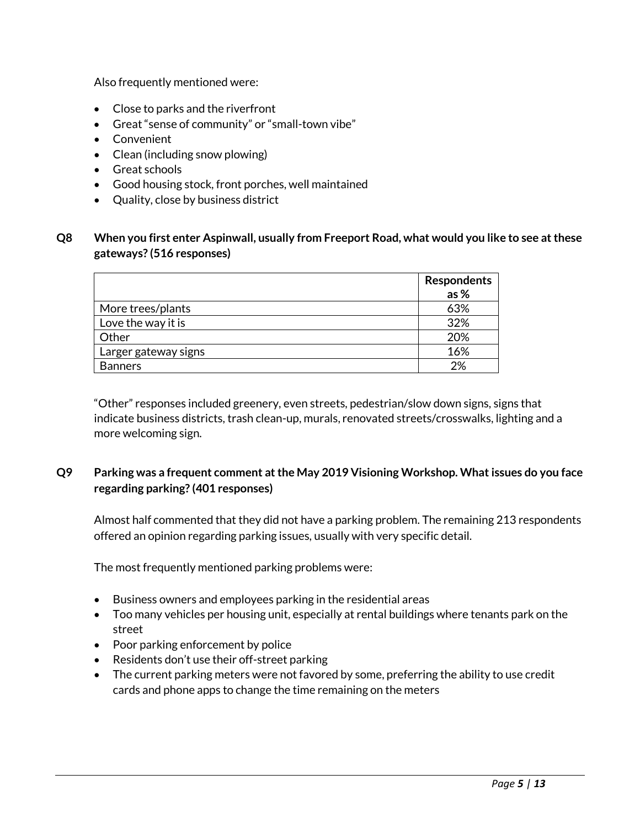Also frequently mentioned were:

- Close to parks and the riverfront
- Great "sense of community" or "small-town vibe"
- Convenient
- Clean (including snow plowing)
- Great schools
- Good housing stock, front porches, well maintained
- Quality, close by business district

# **Q8 When you first enter Aspinwall, usually from Freeport Road, what would you like to see at these gateways? (516 responses)**

|                      | <b>Respondents</b><br>as% |
|----------------------|---------------------------|
| More trees/plants    | 63%                       |
| Love the way it is   | 32%                       |
| Other                | 20%                       |
| Larger gateway signs | 16%                       |
| <b>Banners</b>       | 2%                        |

"Other" responses included greenery, even streets, pedestrian/slow down signs, signs that indicate business districts, trash clean-up, murals, renovated streets/crosswalks, lighting and a more welcoming sign.

# **Q9 Parking was a frequent comment at the May 2019 Visioning Workshop. What issues do you face regarding parking? (401 responses)**

Almost half commented that they did not have a parking problem. The remaining 213 respondents offered an opinion regarding parking issues, usually with very specific detail.

The most frequently mentioned parking problems were:

- Business owners and employees parking in the residential areas
- Too many vehicles per housing unit, especially at rental buildings where tenants park on the street
- Poor parking enforcement by police
- Residents don't use their off-street parking
- The current parking meters were not favored by some, preferring the ability to use credit cards and phone apps to change the time remaining on the meters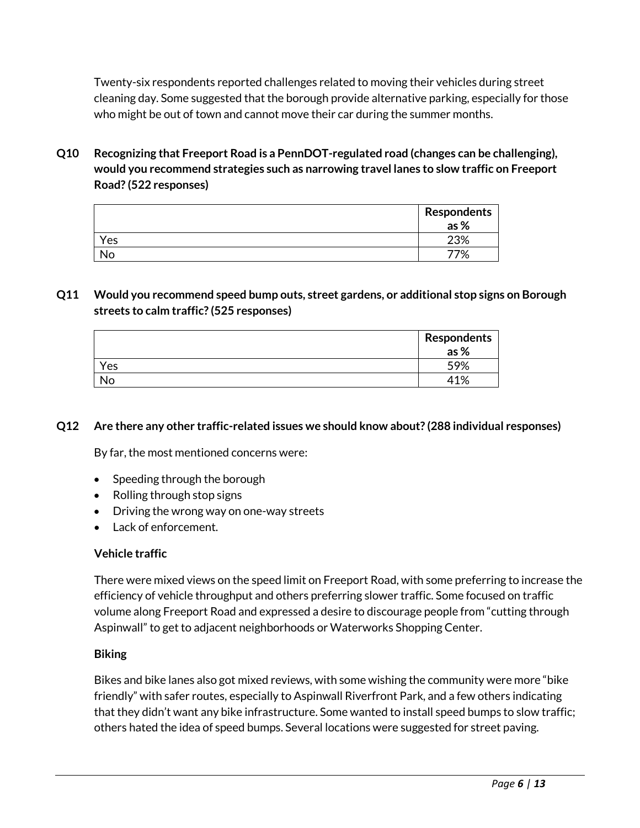Twenty-six respondents reported challenges related to moving their vehicles during street cleaning day. Some suggested that the borough provide alternative parking, especially for those who might be out of town and cannot move their car during the summer months.

**Q10 Recognizing that Freeport Road is a PennDOT-regulated road (changes can be challenging), would you recommend strategies such as narrowing travel lanes to slow traffic on Freeport Road? (522 responses)**

|     | Respondents<br>as % |
|-----|---------------------|
| Yes | 23%                 |
| No  | 77%                 |

# **Q11 Would you recommend speed bump outs, street gardens, or additional stop signs on Borough streets to calm traffic? (525 responses)**

|     | Respondents<br>as $%$ |
|-----|-----------------------|
| Yes | 59%                   |
|     | 1%                    |

## **Q12 Are there any other traffic-related issues we should know about? (288 individual responses)**

By far, the most mentioned concerns were:

- Speeding through the borough
- Rolling through stop signs
- Driving the wrong way on one-way streets
- Lack of enforcement.

#### **Vehicle traffic**

There were mixed views on the speed limit on Freeport Road, with some preferring to increase the efficiency of vehicle throughput and others preferring slower traffic. Some focused on traffic volume along Freeport Road and expressed a desire to discourage people from "cutting through Aspinwall" to get to adjacent neighborhoods or Waterworks Shopping Center.

## **Biking**

Bikes and bike lanes also got mixed reviews, with some wishing the community were more "bike friendly" with safer routes, especially to Aspinwall Riverfront Park, and a few others indicating that they didn't want any bike infrastructure. Some wanted to install speed bumps to slow traffic; others hated the idea of speed bumps. Several locations were suggested for street paving.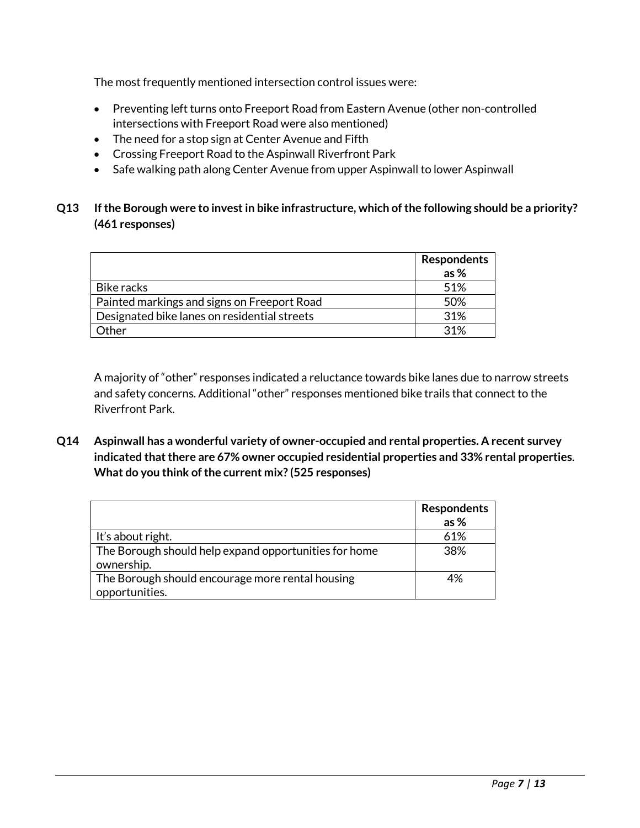The most frequently mentioned intersection control issues were:

- Preventing left turns onto Freeport Road from Eastern Avenue (other non-controlled intersections with Freeport Road were also mentioned)
- The need for a stop sign at Center Avenue and Fifth
- Crossing Freeport Road to the Aspinwall Riverfront Park
- Safe walking path along Center Avenue from upper Aspinwall to lower Aspinwall

# **Q13 If the Borough were to invest in bike infrastructure, which of the following should be a priority? (461 responses)**

|                                              | Respondents<br>as % |
|----------------------------------------------|---------------------|
| Bike racks                                   | 51%                 |
| Painted markings and signs on Freeport Road  | 50%                 |
| Designated bike lanes on residential streets | 31%                 |
| Other                                        | 31%                 |

A majority of "other" responses indicated a reluctance towards bike lanes due to narrow streets and safety concerns. Additional "other" responses mentioned bike trails that connect to the Riverfront Park.

**Q14 Aspinwall has a wonderful variety of owner-occupied and rental properties. A recent survey indicated that there are 67% owner occupied residential properties and 33% rental properties**. **What do you think of the current mix? (525 responses)**

|                                                       | <b>Respondents</b> |
|-------------------------------------------------------|--------------------|
|                                                       | as $%$             |
| It's about right.                                     | 61%                |
| The Borough should help expand opportunities for home | 38%                |
| ownership.                                            |                    |
| The Borough should encourage more rental housing      | 4%                 |
| opportunities.                                        |                    |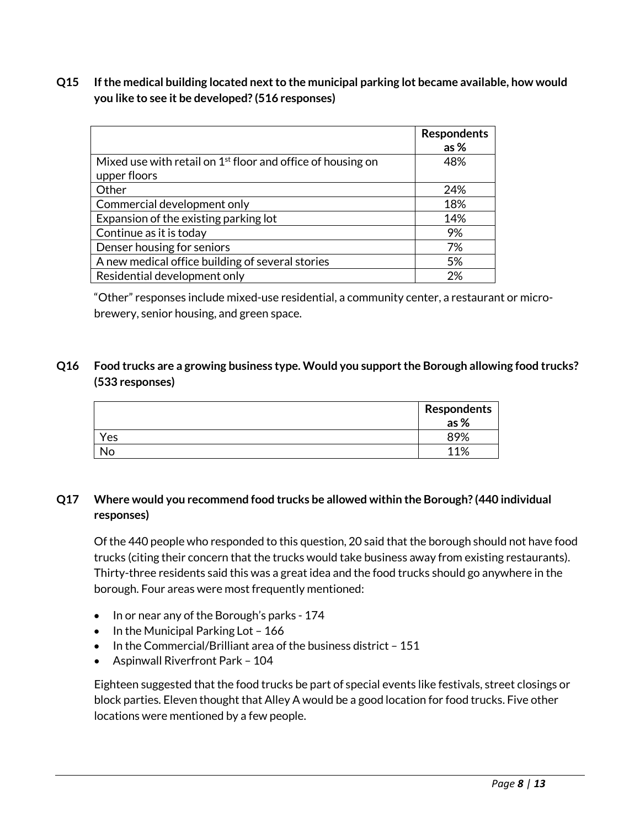**Q15 If the medical building located next to the municipal parking lot became available, how would you like to see it be developed? (516 responses)**

|                                                               | <b>Respondents</b> |
|---------------------------------------------------------------|--------------------|
|                                                               | as $%$             |
| Mixed use with retail on $1st$ floor and office of housing on | 48%                |
| upper floors                                                  |                    |
| Other                                                         | 24%                |
| Commercial development only                                   | 18%                |
| Expansion of the existing parking lot                         | 14%                |
| Continue as it is today                                       | 9%                 |
| Denser housing for seniors                                    | 7%                 |
| A new medical office building of several stories              | 5%                 |
| Residential development only                                  | 2%                 |

"Other" responses include mixed-use residential, a community center, a restaurant or microbrewery, senior housing, and green space.

# **Q16 Food trucks are a growing business type. Would you support the Borough allowing food trucks? (533 responses)**

|     | Respondents<br>as % |
|-----|---------------------|
| Yes | 89%                 |
| No  | 11%                 |

# **Q17 Where would you recommend food trucks be allowed within the Borough? (440 individual responses)**

Of the 440 people who responded to this question, 20 said that the borough should not have food trucks (citing their concern that the trucks would take business away from existing restaurants). Thirty-three residents said this was a great idea and the food trucks should go anywhere in the borough. Four areas were most frequently mentioned:

- In or near any of the Borough's parks 174
- In the Municipal Parking Lot 166
- In the Commercial/Brilliant area of the business district 151
- Aspinwall Riverfront Park 104

Eighteen suggested that the food trucks be part of special events like festivals, street closings or block parties. Eleven thought that Alley A would be a good location for food trucks. Five other locations were mentioned by a few people.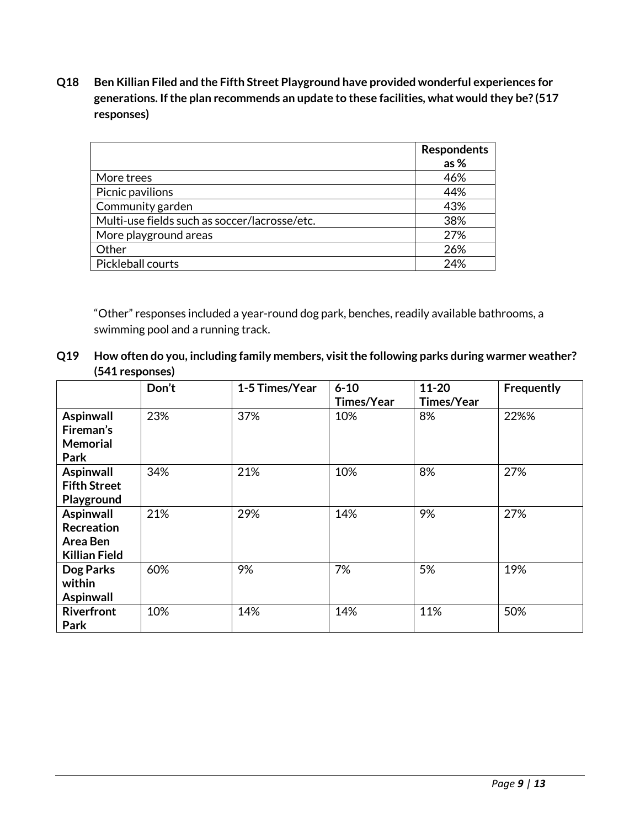**Q18 Ben Killian Filed and the Fifth Street Playground have provided wonderful experiences for generations. If the plan recommends an update to these facilities, what would they be? (517 responses)**

|                                               | <b>Respondents</b> |
|-----------------------------------------------|--------------------|
|                                               | as%                |
| More trees                                    | 46%                |
| Picnic pavilions                              | 44%                |
| Community garden                              | 43%                |
| Multi-use fields such as soccer/lacrosse/etc. | 38%                |
| More playground areas                         | 27%                |
| Other                                         | 26%                |
| Pickleball courts                             | 24%                |

"Other" responses included a year-round dog park, benches, readily available bathrooms, a swimming pool and a running track.

**Q19 How often do you, including family members, visit the following parks during warmer weather? (541 responses)**

|                      | Don't | 1-5 Times/Year | $6 - 10$   | $11 - 20$  | Frequently |
|----------------------|-------|----------------|------------|------------|------------|
|                      |       |                | Times/Year | Times/Year |            |
| <b>Aspinwall</b>     | 23%   | 37%            | 10%        | 8%         | 22%%       |
| Fireman's            |       |                |            |            |            |
| <b>Memorial</b>      |       |                |            |            |            |
| Park                 |       |                |            |            |            |
| <b>Aspinwall</b>     | 34%   | 21%            | 10%        | 8%         | 27%        |
| <b>Fifth Street</b>  |       |                |            |            |            |
| Playground           |       |                |            |            |            |
| <b>Aspinwall</b>     | 21%   | 29%            | 14%        | 9%         | 27%        |
| <b>Recreation</b>    |       |                |            |            |            |
| Area Ben             |       |                |            |            |            |
| <b>Killian Field</b> |       |                |            |            |            |
| Dog Parks            | 60%   | 9%             | 7%         | 5%         | 19%        |
| within               |       |                |            |            |            |
| <b>Aspinwall</b>     |       |                |            |            |            |
| Riverfront           | 10%   | 14%            | 14%        | 11%        | 50%        |
| Park                 |       |                |            |            |            |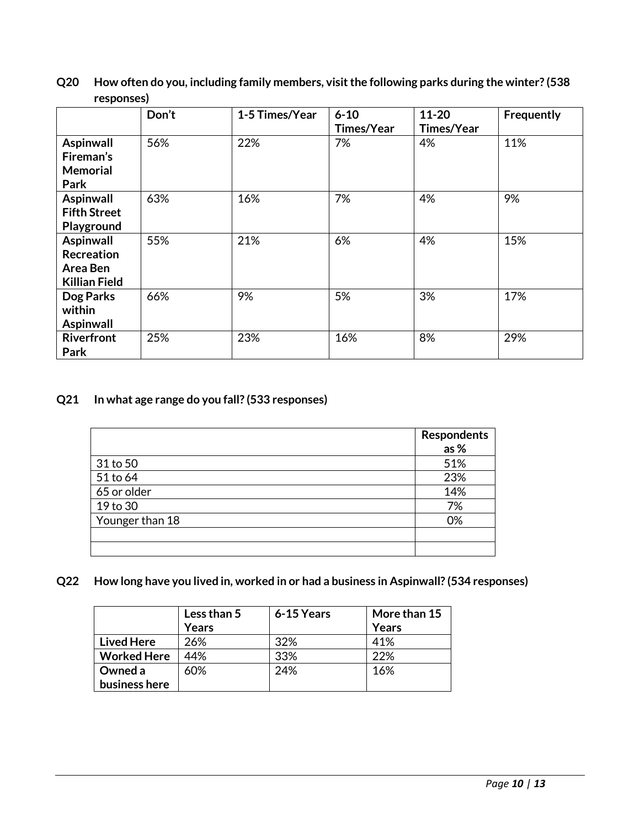|                      | Don't | 1-5 Times/Year | $6 - 10$   | $11 - 20$  | Frequently |
|----------------------|-------|----------------|------------|------------|------------|
|                      |       |                | Times/Year | Times/Year |            |
| <b>Aspinwall</b>     | 56%   | 22%            | 7%         | 4%         | 11%        |
| Fireman's            |       |                |            |            |            |
| <b>Memorial</b>      |       |                |            |            |            |
| Park                 |       |                |            |            |            |
| <b>Aspinwall</b>     | 63%   | 16%            | 7%         | 4%         | 9%         |
| <b>Fifth Street</b>  |       |                |            |            |            |
| Playground           |       |                |            |            |            |
| <b>Aspinwall</b>     | 55%   | 21%            | 6%         | 4%         | 15%        |
| <b>Recreation</b>    |       |                |            |            |            |
| Area Ben             |       |                |            |            |            |
| <b>Killian Field</b> |       |                |            |            |            |
| Dog Parks            | 66%   | 9%             | 5%         | 3%         | 17%        |
| within               |       |                |            |            |            |
| <b>Aspinwall</b>     |       |                |            |            |            |
| <b>Riverfront</b>    | 25%   | 23%            | 16%        | 8%         | 29%        |
| Park                 |       |                |            |            |            |

**Q20 How often do you, including family members, visit the following parks during the winter? (538 responses)**

# **Q21 In what age range do you fall? (533 responses)**

|                 | Respondents<br>as% |
|-----------------|--------------------|
| 31 to 50        | 51%                |
| 51 to 64        | 23%                |
| 65 or older     | 14%                |
| 19 to 30        | 7%                 |
| Younger than 18 | 0%                 |
|                 |                    |
|                 |                    |

**Q22 How long have you lived in, worked in or had a business in Aspinwall? (534 responses)**

|                    | Less than 5 | 6-15 Years | More than 15 |
|--------------------|-------------|------------|--------------|
|                    | Years       |            | Years        |
| <b>Lived Here</b>  | 26%         | 32%        | 41%          |
| <b>Worked Here</b> | 44%         | 33%        | 22%          |
| Owned a            | 60%         | 24%        | 16%          |
| business here      |             |            |              |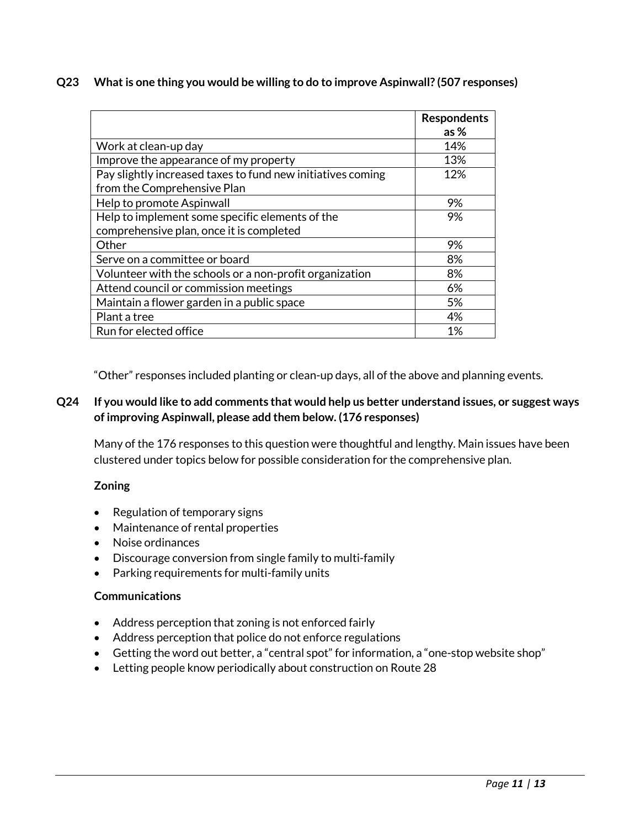#### **Q23 What is one thing you would be willing to do to improve Aspinwall? (507 responses)**

|                                                             | <b>Respondents</b> |
|-------------------------------------------------------------|--------------------|
|                                                             | as $%$             |
| Work at clean-up day                                        | 14%                |
| Improve the appearance of my property                       | 13%                |
| Pay slightly increased taxes to fund new initiatives coming | 12%                |
| from the Comprehensive Plan                                 |                    |
| Help to promote Aspinwall                                   | 9%                 |
| Help to implement some specific elements of the             | 9%                 |
| comprehensive plan, once it is completed                    |                    |
| Other                                                       | 9%                 |
| Serve on a committee or board                               | 8%                 |
| Volunteer with the schools or a non-profit organization     | 8%                 |
| Attend council or commission meetings                       | 6%                 |
| Maintain a flower garden in a public space                  | 5%                 |
| Plant a tree                                                | 4%                 |
| Run for elected office                                      | 1%                 |

"Other" responses included planting or clean-up days, all of the above and planning events.

## **Q24 If you would like to add comments that would help us better understand issues, or suggest ways of improving Aspinwall, please add them below. (176 responses)**

Many of the 176 responses to this question were thoughtful and lengthy. Main issues have been clustered under topics below for possible consideration for the comprehensive plan.

## **Zoning**

- Regulation of temporary signs
- Maintenance of rental properties
- Noise ordinances
- Discourage conversion from single family to multi-family
- Parking requirements for multi-family units

## **Communications**

- Address perception that zoning is not enforced fairly
- Address perception that police do not enforce regulations
- Getting the word out better, a "central spot" for information, a "one-stop website shop"
- Letting people know periodically about construction on Route 28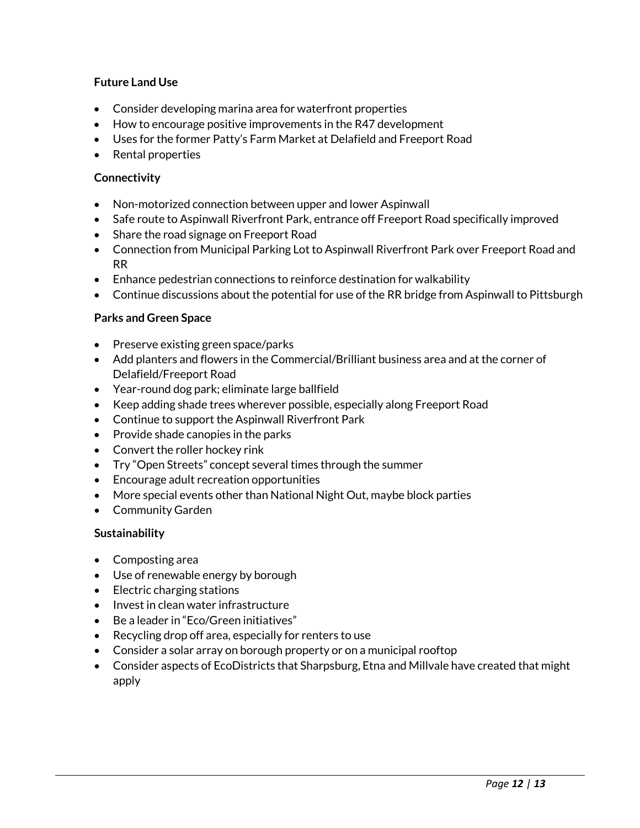## **Future Land Use**

- Consider developing marina area for waterfront properties
- How to encourage positive improvements in the R47 development
- Uses for the former Patty's Farm Market at Delafield and Freeport Road
- Rental properties

#### **Connectivity**

- Non-motorized connection between upper and lower Aspinwall
- Safe route to Aspinwall Riverfront Park, entrance off Freeport Road specifically improved
- Share the road signage on Freeport Road
- Connection from Municipal Parking Lot to Aspinwall Riverfront Park over Freeport Road and RR
- Enhance pedestrian connections to reinforce destination for walkability
- Continue discussions about the potential for use of the RR bridge from Aspinwall to Pittsburgh

## **Parks and Green Space**

- Preserve existing green space/parks
- Add planters and flowers in the Commercial/Brilliant business area and at the corner of Delafield/Freeport Road
- Year-round dog park; eliminate large ballfield
- Keep adding shade trees wherever possible, especially along Freeport Road
- Continue to support the Aspinwall Riverfront Park
- Provide shade canopies in the parks
- Convert the roller hockey rink
- Try "Open Streets" concept several times through the summer
- Encourage adult recreation opportunities
- More special events other than National Night Out, maybe block parties
- Community Garden

#### **Sustainability**

- Composting area
- Use of renewable energy by borough
- Electric charging stations
- Invest in clean water infrastructure
- Be a leader in "Eco/Green initiatives"
- Recycling drop off area, especially for renters to use
- Consider a solar array on borough property or on a municipal rooftop
- Consider aspects of EcoDistricts that Sharpsburg, Etna and Millvale have created that might apply